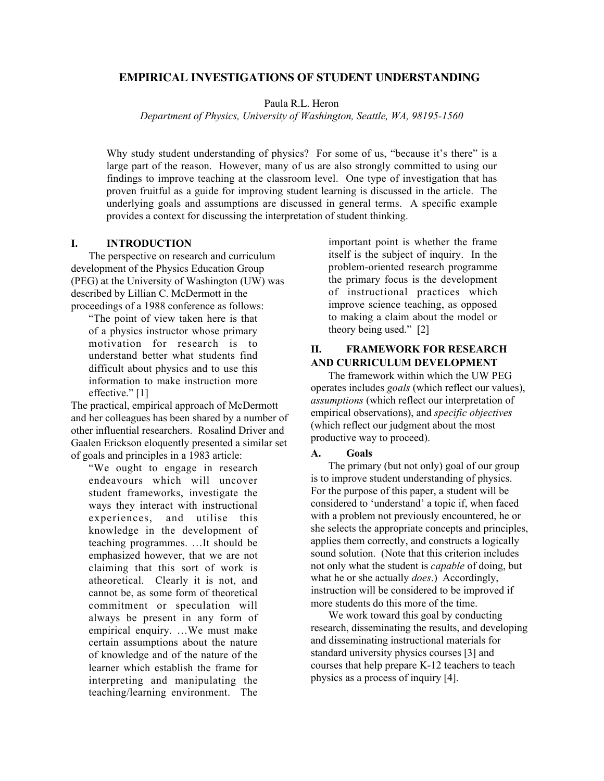## **EMPIRICAL INVESTIGATIONS OF STUDENT UNDERSTANDING**

Paula R.L. Heron

*Department of Physics, University of Washington, Seattle, WA, 98195-1560*

Why study student understanding of physics? For some of us, "because it's there" is a large part of the reason. However, many of us are also strongly committed to using our findings to improve teaching at the classroom level. One type of investigation that has proven fruitful as a guide for improving student learning is discussed in the article. The underlying goals and assumptions are discussed in general terms. A specific example provides a context for discussing the interpretation of student thinking.

## **I. INTRODUCTION**

The perspective on research and curriculum development of the Physics Education Group (PEG) at the University of Washington (UW) was described by Lillian C. McDermott in the proceedings of a 1988 conference as follows:

"The point of view taken here is that of a physics instructor whose primary motivation for research is to understand better what students find difficult about physics and to use this information to make instruction more effective." [1]

The practical, empirical approach of McDermott and her colleagues has been shared by a number of other influential researchers. Rosalind Driver and Gaalen Erickson eloquently presented a similar set of goals and principles in a 1983 article:

"We ought to engage in research endeavours which will uncover student frameworks, investigate the ways they interact with instructional experiences, and utilise this knowledge in the development of teaching programmes. ... It should be emphasized however, that we are not claiming that this sort of work is atheoretical. Clearly it is not, and cannot be, as some form of theoretical commitment or speculation will always be present in any form of empirical enquiry. ...We must make certain assumptions about the nature of knowledge and of the nature of the learner which establish the frame for interpreting and manipulating the teaching/learning environment. The

important point is whether the frame itself is the subject of inquiry. In the problem-oriented research programme the primary focus is the development of instructional practices which improve science teaching, as opposed to making a claim about the model or theory being used."  $[2]$ 

# **II. FRAMEWORK FOR RESEARCH AND CURRICULUM DEVELOPMENT**

The framework within which the UW PEG operates includes *goals* (which reflect our values), *assumptions* (which reflect our interpretation of empirical observations), and *specific objectives* (which reflect our judgment about the most productive way to proceed).

## **A. Goals**

The primary (but not only) goal of our group is to improve student understanding of physics. For the purpose of this paper, a student will be considered to 'understand' a topic if, when faced with a problem not previously encountered, he or she selects the appropriate concepts and principles, applies them correctly, and constructs a logically sound solution. (Note that this criterion includes not only what the student is *capable* of doing, but what he or she actually *does*.) Accordingly, instruction will be considered to be improved if more students do this more of the time.

We work toward this goal by conducting research, disseminating the results, and developing and disseminating instructional materials for standard university physics courses [3] and courses that help prepare K-12 teachers to teach physics as a process of inquiry [4].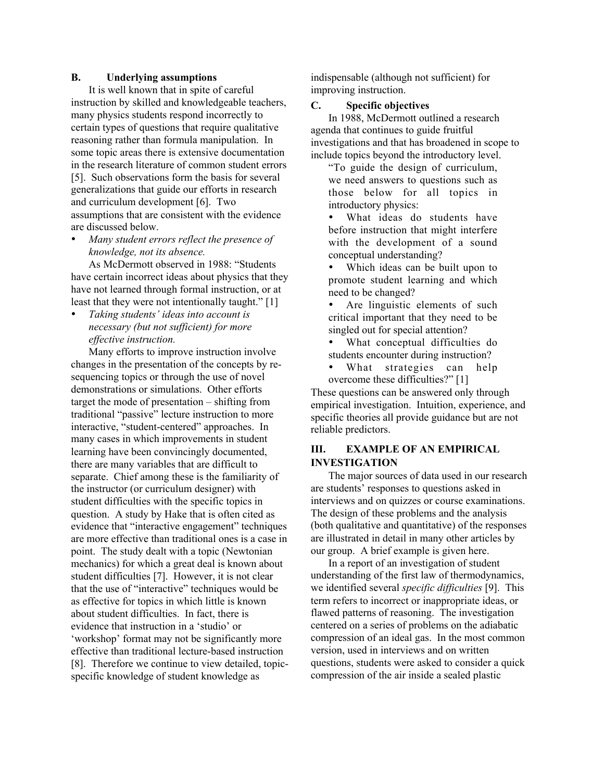#### **B. Underlying assumptions**

It is well known that in spite of careful instruction by skilled and knowledgeable teachers, many physics students respond incorrectly to certain types of questions that require qualitative reasoning rather than formula manipulation. In some topic areas there is extensive documentation in the research literature of common student errors [5]. Such observations form the basis for several generalizations that guide our efforts in research and curriculum development [6]. Two assumptions that are consistent with the evidence are discussed below.

 *Many student errors reflect the presence of knowledge, not its absence.*

As McDermott observed in 1988: "Students have certain incorrect ideas about physics that they have not learned through formal instruction, or at least that they were not intentionally taught."  $[1]$ 

*Taking students' ideas into account is necessary (but not sufficient) for more effective instruction.*

Many efforts to improve instruction involve changes in the presentation of the concepts by resequencing topics or through the use of novel demonstrations or simulations. Other efforts target the mode of presentation  $-$  shifting from traditional "passive" lecture instruction to more interactive, "student-centered" approaches. In many cases in which improvements in student learning have been convincingly documented, there are many variables that are difficult to separate. Chief among these is the familiarity of the instructor (or curriculum designer) with student difficulties with the specific topics in question. A study by Hake that is often cited as evidence that "interactive engagement" techniques are more effective than traditional ones is a case in point. The study dealt with a topic (Newtonian mechanics) for which a great deal is known about student difficulties [7]. However, it is not clear that the use of "interactive" techniques would be as effective for topics in which little is known about student difficulties. In fact, there is evidence that instruction in a 'studio' or 'workshop' format may not be significantly more effective than traditional lecture-based instruction [8]. Therefore we continue to view detailed, topicspecific knowledge of student knowledge as

indispensable (although not sufficient) for improving instruction.

#### **C. Specific objectives**

In 1988, McDermott outlined a research agenda that continues to guide fruitful investigations and that has broadened in scope to include topics beyond the introductory level.

ìTo guide the design of curriculum, we need answers to questions such as those below for all topics in introductory physics:

 What ideas do students have before instruction that might interfere with the development of a sound conceptual understanding?

 Which ideas can be built upon to promote student learning and which need to be changed?

 Are linguistic elements of such critical important that they need to be singled out for special attention?

- What conceptual difficulties do students encounter during instruction?
- What strategies can help overcome these difficulties?" [1]

These questions can be answered only through empirical investigation. Intuition, experience, and specific theories all provide guidance but are not reliable predictors.

# **III. EXAMPLE OF AN EMPIRICAL INVESTIGATION**

The major sources of data used in our research are students' responses to questions asked in interviews and on quizzes or course examinations. The design of these problems and the analysis (both qualitative and quantitative) of the responses are illustrated in detail in many other articles by our group. A brief example is given here.

In a report of an investigation of student understanding of the first law of thermodynamics, we identified several *specific difficulties* [9]. This term refers to incorrect or inappropriate ideas, or flawed patterns of reasoning. The investigation centered on a series of problems on the adiabatic compression of an ideal gas. In the most common version, used in interviews and on written questions, students were asked to consider a quick compression of the air inside a sealed plastic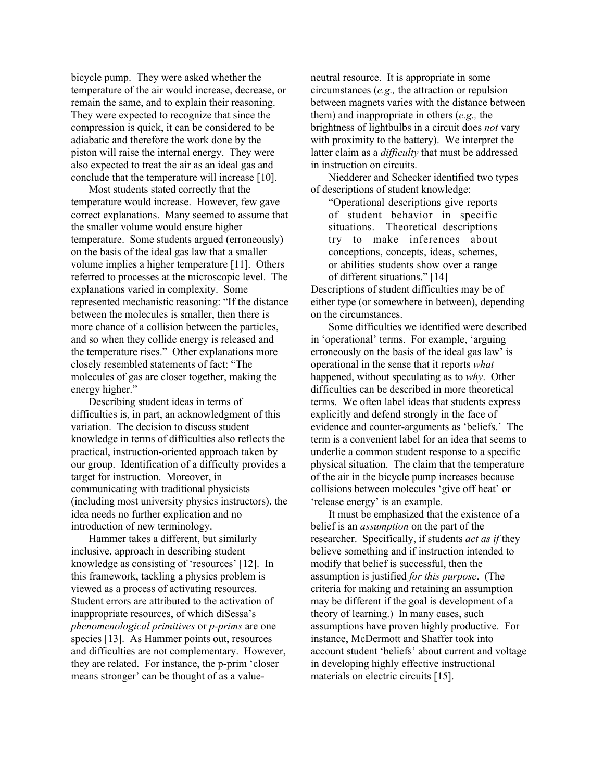bicycle pump. They were asked whether the temperature of the air would increase, decrease, or remain the same, and to explain their reasoning. They were expected to recognize that since the compression is quick, it can be considered to be adiabatic and therefore the work done by the piston will raise the internal energy. They were also expected to treat the air as an ideal gas and conclude that the temperature will increase [10].

Most students stated correctly that the temperature would increase. However, few gave correct explanations. Many seemed to assume that the smaller volume would ensure higher temperature. Some students argued (erroneously) on the basis of the ideal gas law that a smaller volume implies a higher temperature [11]. Others referred to processes at the microscopic level. The explanations varied in complexity. Some represented mechanistic reasoning: "If the distance" between the molecules is smaller, then there is more chance of a collision between the particles, and so when they collide energy is released and the temperature rises." Other explanations more closely resembled statements of fact: "The molecules of gas are closer together, making the energy higher."

Describing student ideas in terms of difficulties is, in part, an acknowledgment of this variation. The decision to discuss student knowledge in terms of difficulties also reflects the practical, instruction-oriented approach taken by our group. Identification of a difficulty provides a target for instruction. Moreover, in communicating with traditional physicists (including most university physics instructors), the idea needs no further explication and no introduction of new terminology.

Hammer takes a different, but similarly inclusive, approach in describing student knowledge as consisting of 'resources' [12]. In this framework, tackling a physics problem is viewed as a process of activating resources. Student errors are attributed to the activation of inappropriate resources, of which diSessa's *phenomenological primitives* or *p-prims* are one species [13]. As Hammer points out, resources and difficulties are not complementary. However, they are related. For instance, the p-prim 'closer means stronger' can be thought of as a valueneutral resource. It is appropriate in some circumstances (*e.g.,* the attraction or repulsion between magnets varies with the distance between them) and inappropriate in others (*e.g.,* the brightness of lightbulbs in a circuit does *not* vary with proximity to the battery). We interpret the latter claim as a *difficulty* that must be addressed in instruction on circuits.

Niedderer and Schecker identified two types of descriptions of student knowledge:

ìOperational descriptions give reports of student behavior in specific situations. Theoretical descriptions try to make inferences about conceptions, concepts, ideas, schemes, or abilities students show over a range of different situations." [14]

Descriptions of student difficulties may be of either type (or somewhere in between), depending on the circumstances.

Some difficulties we identified were described in 'operational' terms. For example, 'arguing erroneously on the basis of the ideal gas law' is operational in the sense that it reports *what* happened, without speculating as to *why*. Other difficulties can be described in more theoretical terms. We often label ideas that students express explicitly and defend strongly in the face of evidence and counter-arguments as 'beliefs.' The term is a convenient label for an idea that seems to underlie a common student response to a specific physical situation. The claim that the temperature of the air in the bicycle pump increases because collisions between molecules 'give off heat' or 'release energy' is an example.

It must be emphasized that the existence of a belief is an *assumption* on the part of the researcher. Specifically, if students *act as if* they believe something and if instruction intended to modify that belief is successful, then the assumption is justified *for this purpose*. (The criteria for making and retaining an assumption may be different if the goal is development of a theory of learning.) In many cases, such assumptions have proven highly productive. For instance, McDermott and Shaffer took into account student 'beliefs' about current and voltage in developing highly effective instructional materials on electric circuits [15].